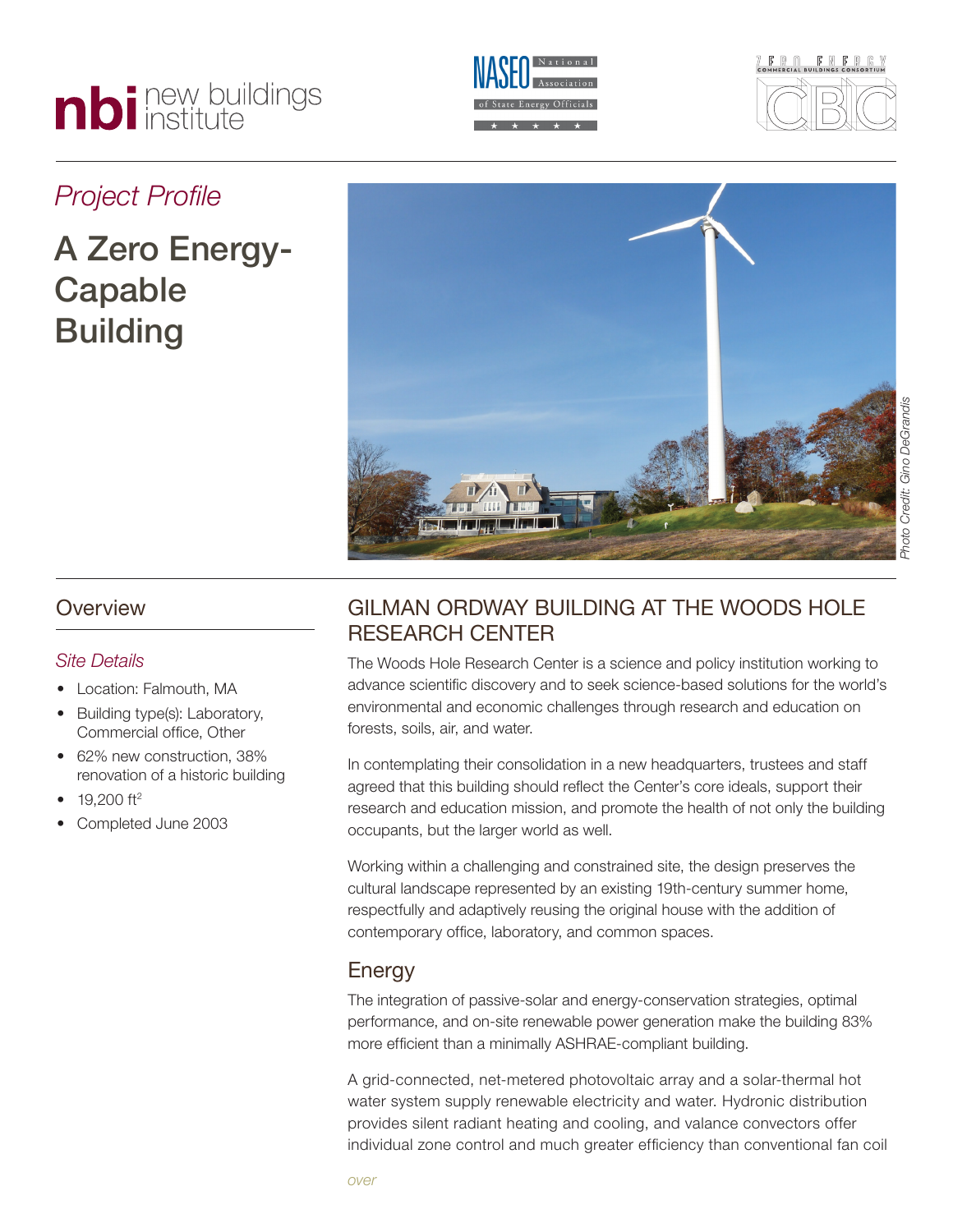# nbi new buildings





# *Project Profile*

# A Zero Energy-Capable **Building**



## **Overview**

#### *Site Details*

- Location: Falmouth, MA
- Building type(s): Laboratory, Commercial office, Other
- 62% new construction, 38% renovation of a historic building
- $19,200$  ft<sup>2</sup>
- Completed June 2003

# GILMAN ORDWAY BUILDING AT THE WOODS HOLF Research Center

The Woods Hole Research Center is a science and policy institution working to advance scientific discovery and to seek science-based solutions for the world's environmental and economic challenges through research and education on forests, soils, air, and water.

In contemplating their consolidation in a new headquarters, trustees and staff agreed that this building should reflect the Center's core ideals, support their research and education mission, and promote the health of not only the building occupants, but the larger world as well.

Working within a challenging and constrained site, the design preserves the cultural landscape represented by an existing 19th-century summer home, respectfully and adaptively reusing the original house with the addition of contemporary office, laboratory, and common spaces.

# **Energy**

The integration of passive-solar and energy-conservation strategies, optimal performance, and on-site renewable power generation make the building 83% more efficient than a minimally ASHRAE-compliant building.

A grid-connected, net-metered photovoltaic array and a solar-thermal hot water system supply renewable electricity and water. Hydronic distribution provides silent radiant heating and cooling, and valance convectors offer individual zone control and much greater efficiency than conventional fan coil